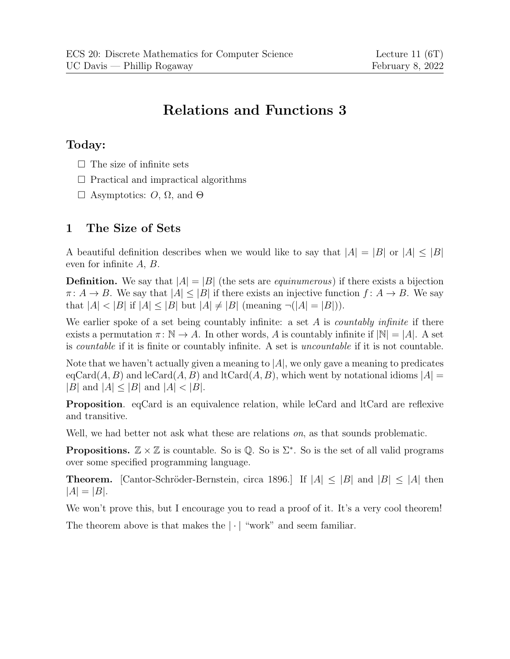# Relations and Functions 3

#### Today:

- $\Box$  The size of infinite sets
- $\Box$  Practical and impractical algorithms
- $\Box$  Asymptotics:  $O$ ,  $\Omega$ , and  $\Theta$

## 1 The Size of Sets

A beautiful definition describes when we would like to say that  $|A| = |B|$  or  $|A| \leq |B|$ even for infinite A, B.

**Definition.** We say that  $|A| = |B|$  (the sets are *equinumerous*) if there exists a bijection  $\pi: A \to B$ . We say that  $|A| \leq |B|$  if there exists an injective function  $f: A \to B$ . We say that  $|A| < |B|$  if  $|A| \leq |B|$  but  $|A| \neq |B|$  (meaning  $\neg (|A| = |B|)$ ).

We earlier spoke of a set being countably infinite: a set  $A$  is *countably infinite* if there exists a permutation  $\pi: \mathbb{N} \to A$ . In other words, A is countably infinite if  $|\mathbb{N}| = |A|$ . A set is countable if it is finite or countably infinite. A set is uncountable if it is not countable.

Note that we haven't actually given a meaning to  $|A|$ , we only gave a meaning to predicates  $eqCard(A, B)$  and  $lecard(A, B)$  and  $lcCard(A, B)$ , which went by notational idioms  $|A|=$  $|B|$  and  $|A| \leq |B|$  and  $|A| < |B|$ .

Proposition. eqCard is an equivalence relation, while leCard and ltCard are reflexive and transitive.

Well, we had better not ask what these are relations *on*, as that sounds problematic.

**Propositions.**  $\mathbb{Z} \times \mathbb{Z}$  is countable. So is Q. So is  $\Sigma^*$ . So is the set of all valid programs over some specified programming language.

**Theorem.** [Cantor-Schröder-Bernstein, circa 1896.] If  $|A| \leq |B|$  and  $|B| \leq |A|$  then  $|A| = |B|$ .

We won't prove this, but I encourage you to read a proof of it. It's a very cool theorem!

The theorem above is that makes the  $|\cdot|$  "work" and seem familiar.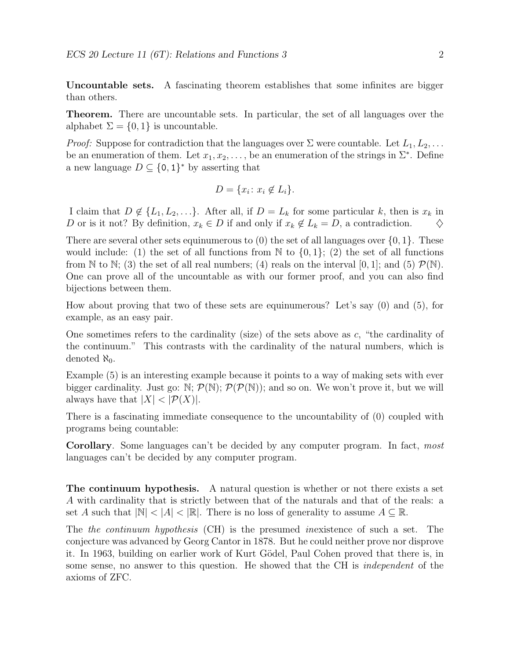Uncountable sets. A fascinating theorem establishes that some infinites are bigger than others.

Theorem. There are uncountable sets. In particular, the set of all languages over the alphabet  $\Sigma = \{0, 1\}$  is uncountable.

*Proof:* Suppose for contradiction that the languages over  $\Sigma$  were countable. Let  $L_1, L_2, \ldots$ be an enumeration of them. Let  $x_1, x_2, \ldots$ , be an enumeration of the strings in  $\Sigma^*$ . Define a new language  $D \subseteq \{0,1\}^*$  by asserting that

$$
D = \{x_i \colon x_i \notin L_i\}.
$$

I claim that  $D \notin \{L_1, L_2, \ldots\}$ . After all, if  $D = L_k$  for some particular k, then is  $x_k$  in D or is it not? By definition,  $x_k \in D$  if and only if  $x_k \notin L_k = D$ , a contradiction.

There are several other sets equinumerous to  $(0)$  the set of all languages over  $\{0, 1\}$ . These would include: (1) the set of all functions from  $\mathbb N$  to  $\{0, 1\}$ ; (2) the set of all functions from N to N; (3) the set of all real numbers; (4) reals on the interval [0, 1]; and (5)  $\mathcal{P}(\mathbb{N})$ . One can prove all of the uncountable as with our former proof, and you can also find bijections between them.

How about proving that two of these sets are equinumerous? Let's say (0) and (5), for example, as an easy pair.

One sometimes refers to the cardinality (size) of the sets above as  $c$ , "the cardinality of the continuum." This contrasts with the cardinality of the natural numbers, which is denoted  $\aleph_0$ .

Example (5) is an interesting example because it points to a way of making sets with ever bigger cardinality. Just go:  $\mathbb{N}; \mathcal{P}(\mathbb{N}); \mathcal{P}(\mathcal{P}(\mathbb{N}))$ ; and so on. We won't prove it, but we will always have that  $|X| < |\mathcal{P}(X)|$ .

There is a fascinating immediate consequence to the uncountability of (0) coupled with programs being countable:

Corollary. Some languages can't be decided by any computer program. In fact, most languages can't be decided by any computer program.

The continuum hypothesis. A natural question is whether or not there exists a set A with cardinality that is strictly between that of the naturals and that of the reals: a set A such that  $|\mathbb{N}| < |A| < |\mathbb{R}|$ . There is no loss of generality to assume  $A \subseteq \mathbb{R}$ .

The the continuum hypothesis (CH) is the presumed inexistence of such a set. The conjecture was advanced by Georg Cantor in 1878. But he could neither prove nor disprove it. In 1963, building on earlier work of Kurt Gödel, Paul Cohen proved that there is, in some sense, no answer to this question. He showed that the CH is independent of the axioms of ZFC.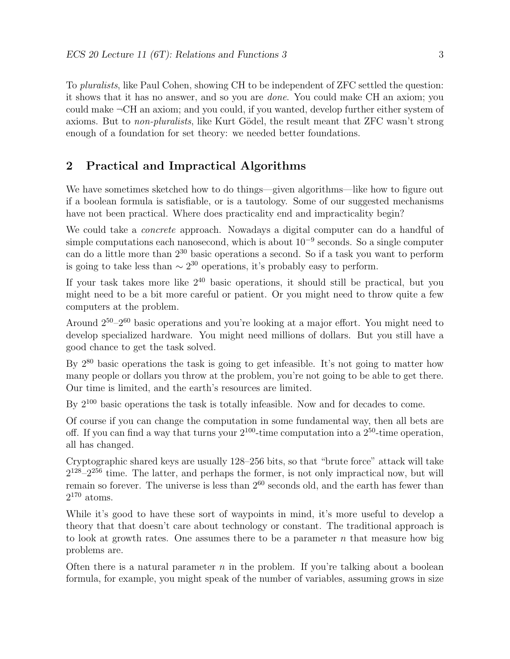To pluralists, like Paul Cohen, showing CH to be independent of ZFC settled the question: it shows that it has no answer, and so you are done. You could make CH an axiom; you could make ¬CH an axiom; and you could, if you wanted, develop further either system of axioms. But to *non-pluralists*, like Kurt Gödel, the result meant that ZFC wasn't strong enough of a foundation for set theory: we needed better foundations.

### 2 Practical and Impractical Algorithms

We have sometimes sketched how to do things—given algorithms—like how to figure out if a boolean formula is satisfiable, or is a tautology. Some of our suggested mechanisms have not been practical. Where does practicality end and impracticality begin?

We could take a *concrete* approach. Nowadays a digital computer can do a handful of simple computations each nanosecond, which is about  $10^{-9}$  seconds. So a single computer can do a little more than  $2^{30}$  basic operations a second. So if a task you want to perform is going to take less than  $\sim 2^{30}$  operations, it's probably easy to perform.

If your task takes more like  $2^{40}$  basic operations, it should still be practical, but you might need to be a bit more careful or patient. Or you might need to throw quite a few computers at the problem.

Around 2<sup>50</sup>–2<sup>60</sup> basic operations and you're looking at a major effort. You might need to develop specialized hardware. You might need millions of dollars. But you still have a good chance to get the task solved.

By  $2^{80}$  basic operations the task is going to get infeasible. It's not going to matter how many people or dollars you throw at the problem, you're not going to be able to get there. Our time is limited, and the earth's resources are limited.

By  $2^{100}$  basic operations the task is totally infeasible. Now and for decades to come.

Of course if you can change the computation in some fundamental way, then all bets are off. If you can find a way that turns your  $2^{100}$ -time computation into a  $2^{50}$ -time operation, all has changed.

Cryptographic shared keys are usually 128–256 bits, so that "brute force" attack will take  $2^{128} - 2^{256}$  time. The latter, and perhaps the former, is not only impractical now, but will remain so forever. The universe is less than  $2^{60}$  seconds old, and the earth has fewer than  $2^{170}$  atoms.

While it's good to have these sort of waypoints in mind, it's more useful to develop a theory that that doesn't care about technology or constant. The traditional approach is to look at growth rates. One assumes there to be a parameter  $n$  that measure how big problems are.

Often there is a natural parameter  $n$  in the problem. If you're talking about a boolean formula, for example, you might speak of the number of variables, assuming grows in size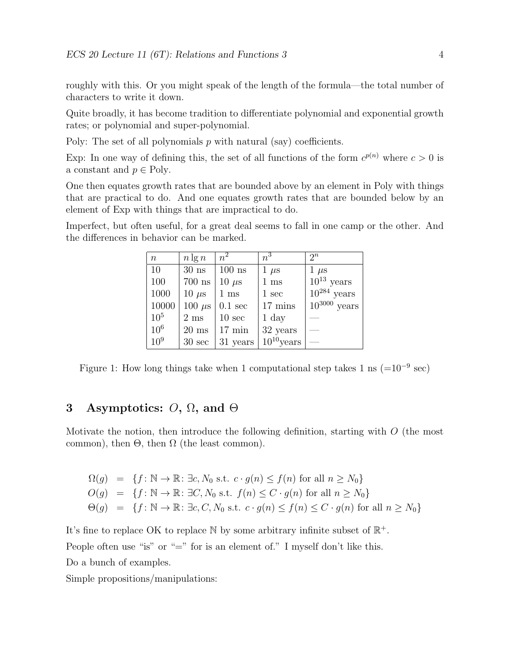roughly with this. Or you might speak of the length of the formula—the total number of characters to write it down.

Quite broadly, it has become tradition to differentiate polynomial and exponential growth rates; or polynomial and super-polynomial.

Poly: The set of all polynomials  $p$  with natural (say) coefficients.

Exp: In one way of defining this, the set of all functions of the form  $c^{p(n)}$  where  $c > 0$  is a constant and  $p \in \text{Poly.}$ 

One then equates growth rates that are bounded above by an element in Poly with things that are practical to do. And one equates growth rates that are bounded below by an element of Exp with things that are impractical to do.

Imperfect, but often useful, for a great deal seems to fall in one camp or the other. And the differences in behavior can be marked.

| $\,n$           | $n \lg n$         | $n^2$             | $n^3$             | $2^n$             |
|-----------------|-------------------|-------------------|-------------------|-------------------|
| 10              | $30$ ns           | $100$ ns          | $1 \mu s$         | $1 \mu s$         |
| 100             | $700~\mathrm{ns}$ | $10 \mu s$        | $1 \mathrm{~ms}$  | $10^{13}$ years   |
| 1000            | $10 \mu s$        | $1 \text{ ms}$    | $1 \text{ sec}$   | $10^{284}$ years  |
| 10000           | $100 \ \mu s$     | $0.1 \text{ sec}$ | $17 \text{ mins}$ | $10^{3000}$ years |
| 10 <sup>5</sup> | $2 \text{ ms}$    | $10 \text{ sec}$  | $1 \mathrm{day}$  |                   |
| $10^{6}$        | $20 \text{ ms}$   | $17 \text{ min}$  | 32 years          |                   |
| $10^{9}$        | $30 \text{ sec}$  | 31 years          | $10^{10}$ years   |                   |

Figure 1: How long things take when 1 computational step takes 1 ns  $(=10^{-9}$  sec)

### 3 Asymptotics:  $O$ ,  $\Omega$ , and  $\Theta$

Motivate the notion, then introduce the following definition, starting with  $O$  (the most common), then  $\Theta$ , then  $\Omega$  (the least common).

$$
\Omega(g) = \{ f : \mathbb{N} \to \mathbb{R} : \exists c, N_0 \text{ s.t. } c \cdot g(n) \le f(n) \text{ for all } n \ge N_0 \}
$$
  

$$
O(g) = \{ f : \mathbb{N} \to \mathbb{R} : \exists C, N_0 \text{ s.t. } f(n) \le C \cdot g(n) \text{ for all } n \ge N_0 \}
$$
  

$$
\Theta(g) = \{ f : \mathbb{N} \to \mathbb{R} : \exists c, C, N_0 \text{ s.t. } c \cdot g(n) \le f(n) \le C \cdot g(n) \text{ for all } n \ge N_0 \}
$$

It's fine to replace OK to replace  $\mathbb N$  by some arbitrary infinite subset of  $\mathbb R^+$ . People often use "is" or "=" for is an element of." I myself don't like this. Do a bunch of examples.

Simple propositions/manipulations: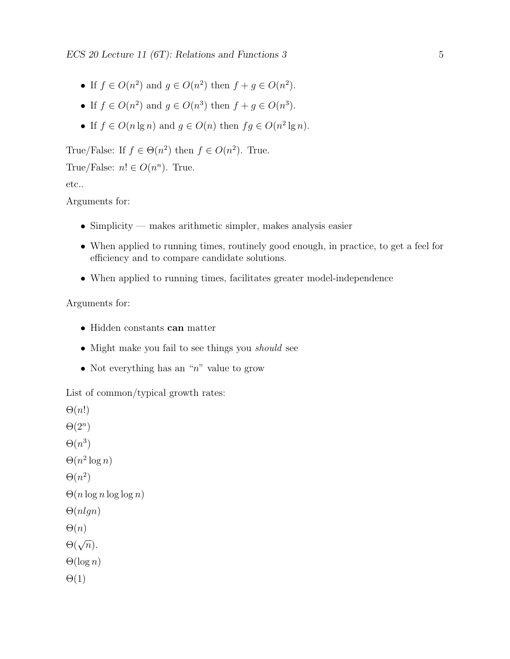$\text{ECS 20 Lecture 11 (6T): Relations and Functions 3 }$  5

- If  $f \in O(n^2)$  and  $g \in O(n^2)$  then  $f + g \in O(n^2)$ .
- If  $f \in O(n^2)$  and  $g \in O(n^3)$  then  $f + g \in O(n^3)$ .
- If  $f \in O(n \lg n)$  and  $g \in O(n)$  then  $fg \in O(n^2 \lg n)$ .

True/False: If  $f \in \Theta(n^2)$  then  $f \in O(n^2)$ . True.

True/False:  $n! \in O(n^n)$ . True.

etc..

Arguments for:

- Simplicity makes arithmetic simpler, makes analysis easier
- When applied to running times, routinely good enough, in practice, to get a feel for efficiency and to compare candidate solutions.
- When applied to running times, facilitates greater model-independence

#### Arguments for:

- Hidden constants can matter
- Might make you fail to see things you *should* see
- Not everything has an " $n$ " value to grow

List of common/typical growth rates:

 $\Theta(n!)$  $\Theta(2^n)$  $\Theta(n^3)$  $\Theta(n^2 \log n)$  $\Theta(n^2)$  $\Theta(n \log n \log \log n)$  $\Theta(nlgn)$  $\Theta(n)$  $\Theta(\sqrt{n}).$  $\Theta(\log n)$  $\Theta(1)$